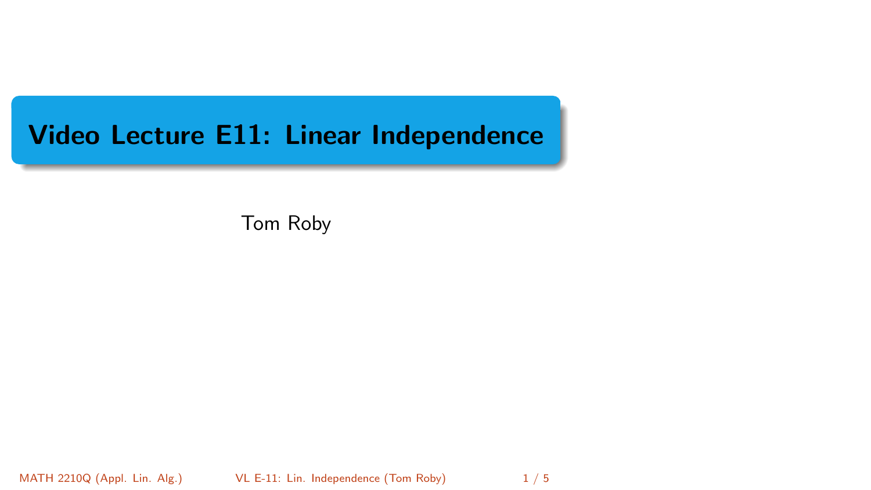# <span id="page-0-0"></span>Video Lecture E11: Linear Independence

Tom Roby

MATH 2210Q (Appl. Lin. Alg.) [VL E-11: Lin. Independence](#page-4-0) (Tom Roby) 1/5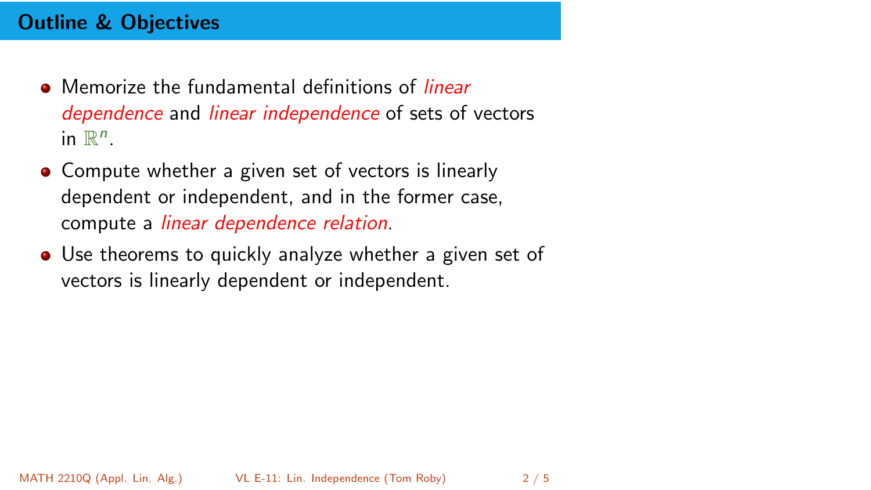# Outline & Objectives

- Memorize the fundamental definitions of *linear* dependence and *linear independence* of sets of vectors in  $\mathbb{R}^n$ .
- Compute whether a given set of vectors is linearly dependent or independent, and in the former case, compute a linear dependence relation.
- Use theorems to quickly analyze whether a given set of vectors is linearly dependent or independent.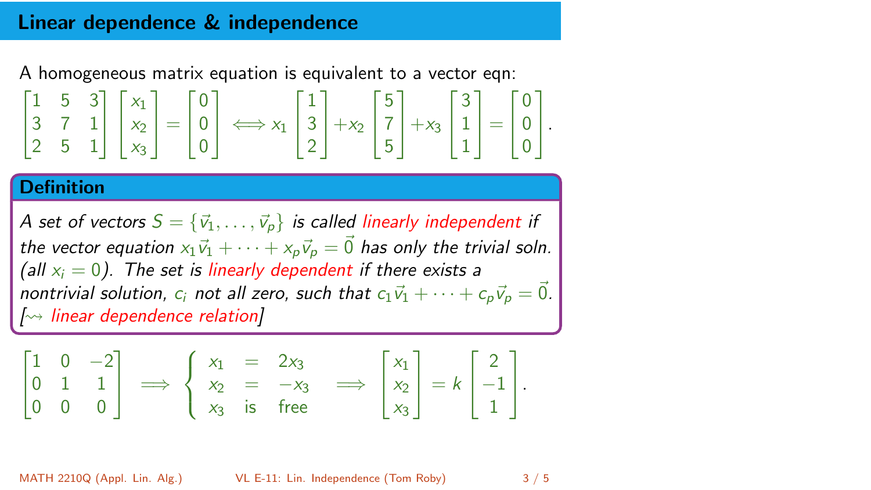#### Linear dependence & independence

A homogeneous matrix equation is equivalent to a vector eqn:

$$
\begin{bmatrix} 1 & 5 & 3 \\ 3 & 7 & 1 \\ 2 & 5 & 1 \end{bmatrix} \begin{bmatrix} x_1 \\ x_2 \\ x_3 \end{bmatrix} = \begin{bmatrix} 0 \\ 0 \\ 0 \end{bmatrix} \Longleftrightarrow x_1 \begin{bmatrix} 1 \\ 3 \\ 2 \end{bmatrix} + x_2 \begin{bmatrix} 5 \\ 7 \\ 5 \end{bmatrix} + x_3 \begin{bmatrix} 3 \\ 1 \\ 1 \end{bmatrix} = \begin{bmatrix} 0 \\ 0 \\ 0 \end{bmatrix}.
$$

#### **Definition**

A set of vectors  $S = \{\vec{v}_1, \ldots, \vec{v}_p\}$  is called linearly independent if the vector equation  $x_1\vec{v}_1 + \cdots + x_n\vec{v}_n = \vec{0}$  has only the trivial soln. (all  $x_i = 0$ ). The set is linearly dependent if there exists a nontrivial solution,  $c_i$  not all zero, such that  $c_1\vec{v}_1 + \cdots + c_n\vec{v}_p = \vec{0}$ .  $\sim$  linear dependence relation]

$$
\begin{bmatrix} 1 & 0 & -2 \ 0 & 1 & 1 \ 0 & 0 & 0 \end{bmatrix} \implies \begin{cases} x_1 & = & 2x_3 \ x_2 & = & -x_3 \ x_3 & \text{is free} \end{cases} \implies \begin{bmatrix} x_1 \ x_2 \ x_3 \end{bmatrix} = k \begin{bmatrix} 2 \ -1 \ 1 \end{bmatrix}.
$$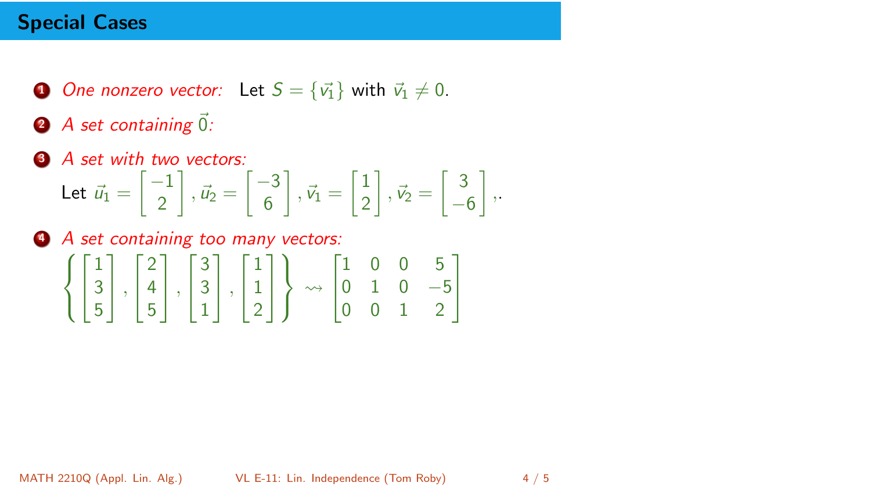### Special Cases

- **1** One nonzero vector: Let  $S = \{\vec{v_1}\}\$  with  $\vec{v_1} \neq 0$ .
- $\bullet$  A set containing  $\vec{0}$ :
- **3** A set with two vectors: Let  $\vec{u}_1 = \begin{bmatrix} -1 \\ 2 \end{bmatrix}$ 2  $\vec{u}_2 = \begin{bmatrix} -3 \\ 6 \end{bmatrix}$ 6  $\Big] \, , \, \vec{v}_1 = \Big[ \frac{1}{2} \Big]$ 2  $\Big]$  ,  $\vec{v}_2 = \Big[\,\frac{3}{2}\,$  $-6$ ,.
- <sup>4</sup> A set containing too many vectors:  $\sqrt{ }$  $\overline{J}$  $\mathcal{L}$  $\sqrt{ }$  $\overline{1}$ 1 3 5 1  $\vert \cdot$ Т  $\overline{\phantom{a}}$ 2 4 5 1  $\vert \cdot$  $\sqrt{ }$  $\overline{1}$ 3 3 1 1  $\vert \cdot$ Т  $\mathbf{I}$ 1 1 2 1  $\mathbf{I}$  $\mathcal{L}$  $\mathcal{L}$ J  $\rightsquigarrow$ Т  $\mathbf{I}$ 1 0 0 5 0 1 0 −5 0 0 1 2 1  $\mathbf{I}$